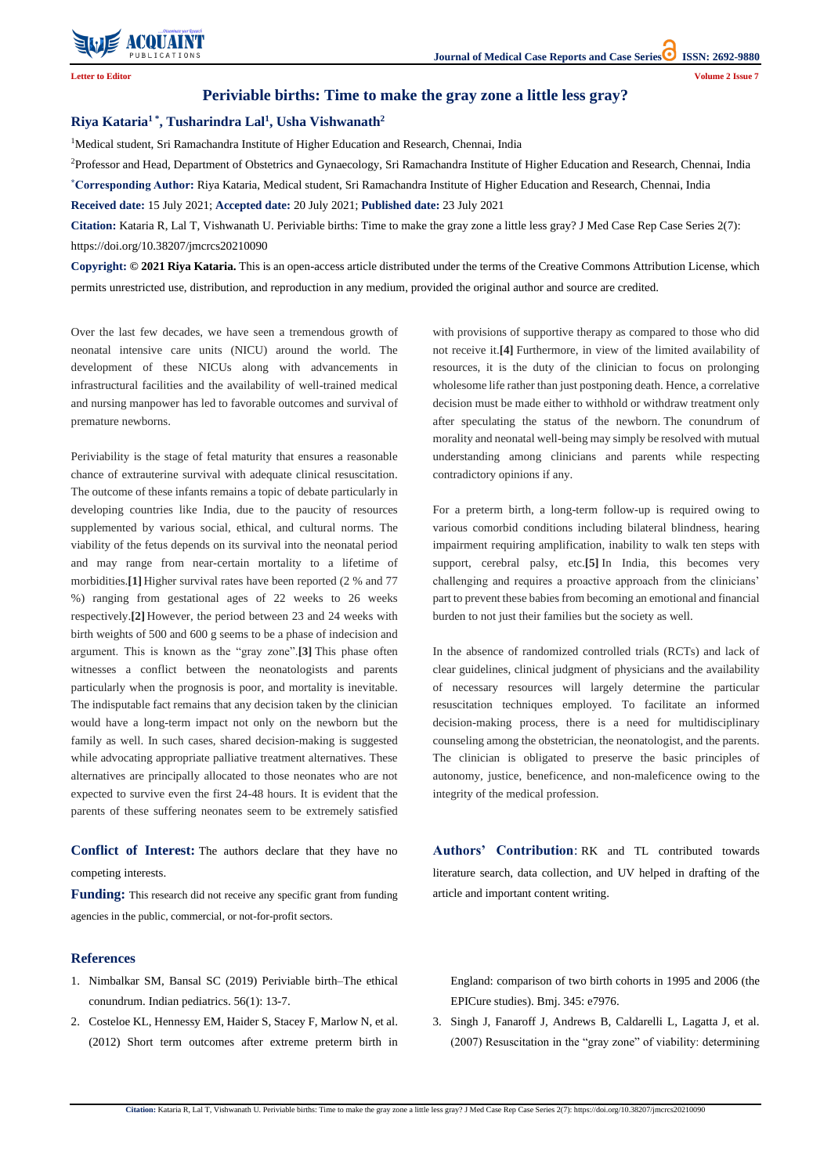

**Citation:** Kataria R, Lal T, Vishwanath U. Periviable births: Time to make the gray zone a little less gray? J Med Case Rep Case Series 2(7): https://doi.org/10.38207/jmcrcs20210090

## **Periviable births: Time to make the gray zone a little less gray?**

## **Riya Kataria<sup>1</sup> \* , Tusharindra Lal<sup>1</sup> , Usha Vishwanath<sup>2</sup>**

<sup>1</sup>Medical student, Sri Ramachandra Institute of Higher Education and Research, Chennai, India

<sup>2</sup>Professor and Head, Department of Obstetrics and Gynaecology, Sri Ramachandra Institute of Higher Education and Research, Chennai, India **\*Corresponding Author:** Riya Kataria, Medical student, Sri Ramachandra Institute of Higher Education and Research, Chennai, India

**Received date:** 15 July 2021; **Accepted date:** 20 July 2021; **Published date:** 23 July 2021

**Citation:** Kataria R, Lal T, Vishwanath U. Periviable births: Time to make the gray zone a little less gray? J Med Case Rep Case Series 2(7): https://doi.org/10.38207/jmcrcs20210090

**Copyright: © 2021 Riya Kataria.** This is an open-access article distributed under the terms of the Creative Commons Attribution License, which permits unrestricted use, distribution, and reproduction in any medium, provided the original author and source are credited.

Over the last few decades, we have seen a tremendous growth of neonatal intensive care units (NICU) around the world. The development of these NICUs along with advancements in infrastructural facilities and the availability of well-trained medical and nursing manpower has led to favorable outcomes and survival of premature newborns.

Periviability is the stage of fetal maturity that ensures a reasonable chance of extrauterine survival with adequate clinical resuscitation. The outcome of these infants remains a topic of debate particularly in developing countries like India, due to the paucity of resources supplemented by various social, ethical, and cultural norms. The viability of the fetus depends on its survival into the neonatal period and may range from near-certain mortality to a lifetime of morbidities.**[1]** Higher survival rates have been reported (2 % and 77 %) ranging from gestational ages of 22 weeks to 26 weeks respectively.**[2]** However, the period between 23 and 24 weeks with birth weights of 500 and 600 g seems to be a phase of indecision and argument. This is known as the "gray zone".**[3]** This phase often witnesses a conflict between the neonatologists and parents particularly when the prognosis is poor, and mortality is inevitable. The indisputable fact remains that any decision taken by the clinician would have a long-term impact not only on the newborn but the family as well. In such cases, shared decision-making is suggested while advocating appropriate palliative treatment alternatives. These alternatives are principally allocated to those neonates who are not expected to survive even the first 24-48 hours. It is evident that the parents of these suffering neonates seem to be extremely satisfied with provisions of supportive therapy as compared to those who did not receive it.**[4]** Furthermore, in view of the limited availability of resources, it is the duty of the clinician to focus on prolonging wholesome life rather than just postponing death. Hence, a correlative decision must be made either to withhold or withdraw treatment only after speculating the status of the newborn. The conundrum of morality and neonatal well-being may simply be resolved with mutual understanding among clinicians and parents while respecting contradictory opinions if any.

For a preterm birth, a long-term follow-up is required owing to various comorbid conditions including bilateral blindness, hearing impairment requiring amplification, inability to walk ten steps with support, cerebral palsy, etc.**[5]** In India, this becomes very challenging and requires a proactive approach from the clinicians' part to prevent these babies from becoming an emotional and financial burden to not just their families but the society as well.

In the absence of randomized controlled trials (RCTs) and lack of clear guidelines, clinical judgment of physicians and the availability of necessary resources will largely determine the particular resuscitation techniques employed. To facilitate an informed decision-making process, there is a need for multidisciplinary counseling among the obstetrician, the neonatologist, and the parents. The clinician is obligated to preserve the basic principles of autonomy, justice, beneficence, and non-maleficence owing to the integrity of the medical profession.

**Conflict of Interest:** The authors declare that they have no competing interests.

agencies in the public, commercial, or not-for-profit sectors.

**Authors' Contribution**: RK and TL contributed towards literature search, data collection, and UV helped in drafting of the

article and important content writing.

**Funding:** This research did not receive any specific grant from funding

## **References**

- 1. Nimbalkar SM, Bansal SC [\(2019\) Periviable birth–The ethical](https://www.indianpediatrics.net/jan2019/13.pdf)  [conundrum. Indian pediatrics. 56\(1\):](https://www.indianpediatrics.net/jan2019/13.pdf) 13-7.
- 2. [Costeloe KL, Hennessy EM, Haider S, Stacey F, Marlow N, et al.](https://pubmed.ncbi.nlm.nih.gov/23212881/)  [\(2012\) Short term outcomes after extreme preterm birth in](https://pubmed.ncbi.nlm.nih.gov/23212881/)

[England: comparison of two birth cohorts in 1995 and 2006 \(the](https://pubmed.ncbi.nlm.nih.gov/23212881/)  [EPICure studies\). Bmj. 345: e7976.](https://pubmed.ncbi.nlm.nih.gov/23212881/)

3. [Singh J, Fanaroff J, Andrews B, Caldarelli L, Lagatta J, et al.](https://pediatrics.aappublications.org/content/120/3/519)  [\(2007\) Resuscitation in the "gray zone" of viability: determining](https://pediatrics.aappublications.org/content/120/3/519)